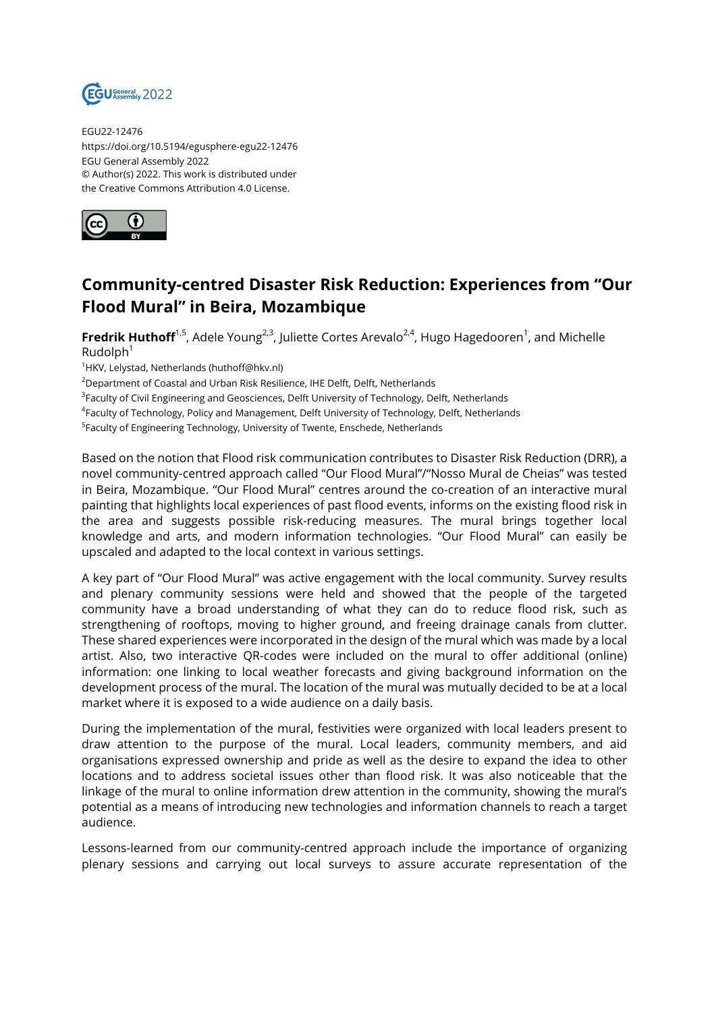

EGU22-12476 https://doi.org/10.5194/egusphere-egu22-12476 EGU General Assembly 2022 © Author(s) 2022. This work is distributed under the Creative Commons Attribution 4.0 License.



## **Community-centred Disaster Risk Reduction: Experiences from "Our Flood Mural" in Beira, Mozambique**

**Fredrik Huthoff**<sup>1,5</sup>, Adele Young<sup>2,3</sup>, Juliette Cortes Arevalo<sup>2,4</sup>, Hugo Hagedooren<sup>1</sup>, and Michelle  $Rudolph<sup>1</sup>$ 

<sup>1</sup>HKV, Lelystad, Netherlands (huthoff@hkv.nl)

<sup>2</sup>Department of Coastal and Urban Risk Resilience, IHE Delft, Delft, Netherlands

<sup>3</sup>Faculty of Civil Engineering and Geosciences, Delft University of Technology, Delft, Netherlands

4 Faculty of Technology, Policy and Management, Delft University of Technology, Delft, Netherlands

<sup>5</sup>Faculty of Engineering Technology, University of Twente, Enschede, Netherlands

Based on the notion that Flood risk communication contributes to Disaster Risk Reduction (DRR), a novel community-centred approach called "Our Flood Mural"/"Nosso Mural de Cheias" was tested in Beira, Mozambique. "Our Flood Mural" centres around the co-creation of an interactive mural painting that highlights local experiences of past flood events, informs on the existing flood risk in the area and suggests possible risk-reducing measures. The mural brings together local knowledge and arts, and modern information technologies. "Our Flood Mural" can easily be upscaled and adapted to the local context in various settings.

A key part of "Our Flood Mural" was active engagement with the local community. Survey results and plenary community sessions were held and showed that the people of the targeted community have a broad understanding of what they can do to reduce flood risk, such as strengthening of rooftops, moving to higher ground, and freeing drainage canals from clutter. These shared experiences were incorporated in the design of the mural which was made by a local artist. Also, two interactive QR-codes were included on the mural to offer additional (online) information: one linking to local weather forecasts and giving background information on the development process of the mural. The location of the mural was mutually decided to be at a local market where it is exposed to a wide audience on a daily basis.

During the implementation of the mural, festivities were organized with local leaders present to draw attention to the purpose of the mural. Local leaders, community members, and aid organisations expressed ownership and pride as well as the desire to expand the idea to other locations and to address societal issues other than flood risk. It was also noticeable that the linkage of the mural to online information drew attention in the community, showing the mural's potential as a means of introducing new technologies and information channels to reach a target audience.

Lessons-learned from our community-centred approach include the importance of organizing plenary sessions and carrying out local surveys to assure accurate representation of the